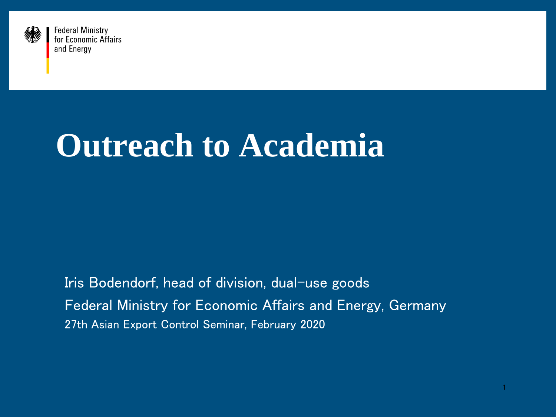

# **Outreach to Academia**

Iris Bodendorf, head of division, dual-use goods Federal Ministry for Economic Affairs and Energy, Germany 27th Asian Export Control Seminar, February 2020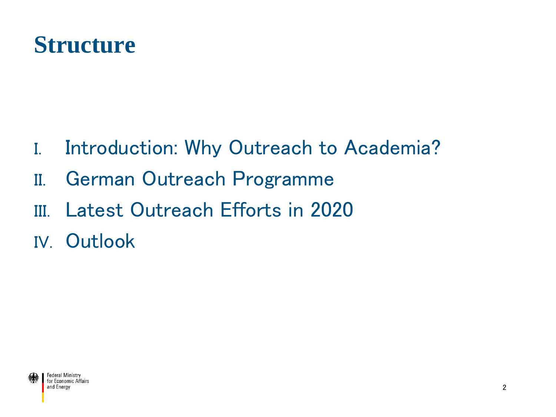### **Structure**

- I. Introduction: Why Outreach to Academia?
- II. German Outreach Programme
- III. Latest Outreach Efforts in 2020
- IV. Outlook

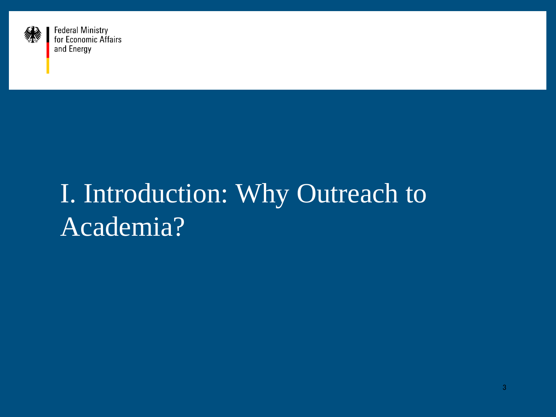

## I. Introduction: Why Outreach to Academia?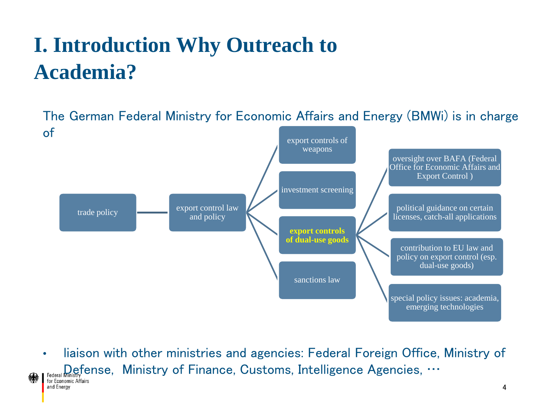## **I. Introduction Why Outreach to Academia?**

The German Federal Ministry for Economic Affairs and Energy (BMWi) is in charge of export controls of weapons



• liaison with other ministries and agencies: Federal Foreign Office, Ministry of Federal Ministry Fense, Ministry of Finance, Customs, Intelligence Agencies, … and Energy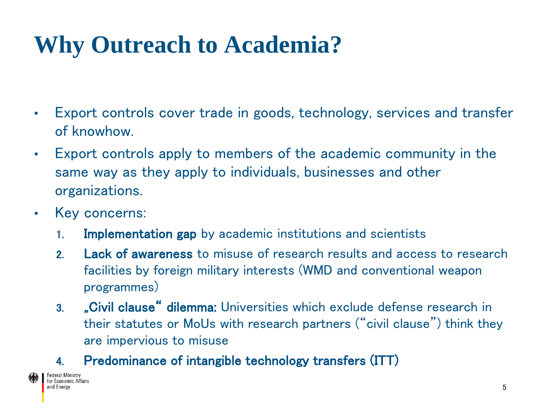## **Why Outreach to Academia?**

- Export controls cover trade in goods, technology, services and transfer of knowhow.
- Export controls apply to members of the academic community in the same way as they apply to individuals, businesses and other organizations.
- Key concerns:
	- 1. Implementation gap by academic institutions and scientists
	- 2. **Lack of awareness** to misuse of research results and access to research facilities by foreign military interests (WMD and conventional weapon programmes)
	- 3. "Civil clause" dilemma: Universities which exclude defense research in their statutes or MoUs with research partners ("civil clause") think they are impervious to misuse
	- 4. Predominance of intangible technology transfers (ITT)

Federal Ministry<br>for Economic Affairs and Energy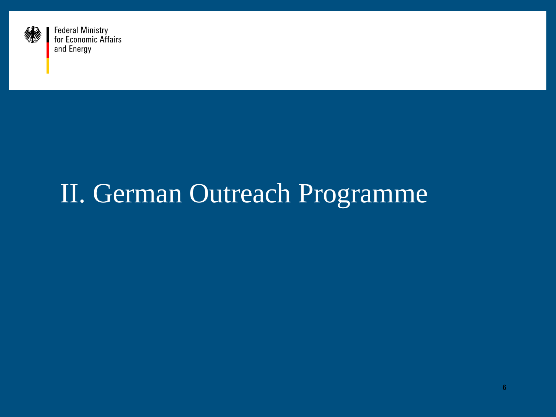

## II. German Outreach Programme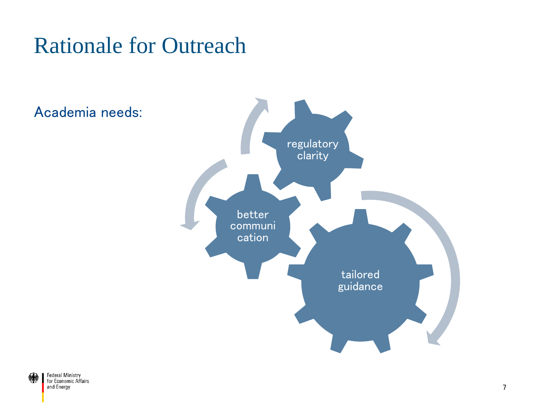#### Rationale for Outreach



#### Academia needs:

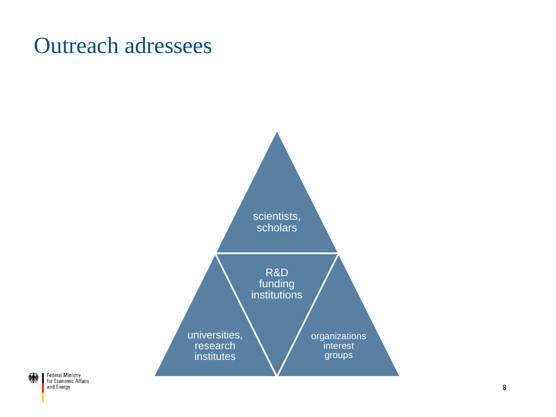#### Outreach adressees

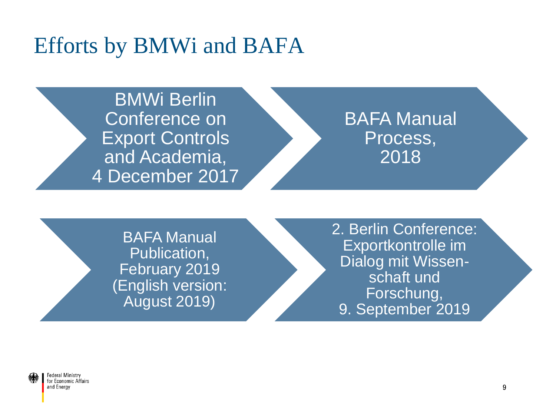#### Efforts by BMWi and BAFA

BMWi Berlin Conference on Export Controls and Academia, 4 December 2017

BAFA Manual Process, 2018

BAFA Manual Publication, February 2019 (English version: August 2019)

2. Berlin Conference: Exportkontrolle im Dialog mit Wissenschaft und Forschung, 9. September 2019

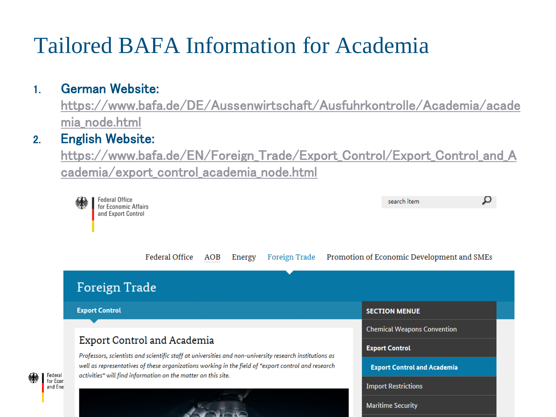## Tailored BAFA Information for Academia

#### 1. German Website:

[https://www.bafa.de/DE/Aussenwirtschaft/Ausfuhrkontrolle/Academia/acade](https://www.bafa.de/DE/Aussenwirtschaft/Ausfuhrkontrolle/Academia/academia_node.html) mia\_node.html

#### 2. English Website:

[https://www.bafa.de/EN/Foreign\\_Trade/Export\\_Control/Export\\_Control\\_and\\_A](https://www.bafa.de/EN/Foreign_Trade/Export_Control/Export_Control_and_Academia/export_control_academia_node.html) cademia/export\_control\_academia\_node.html

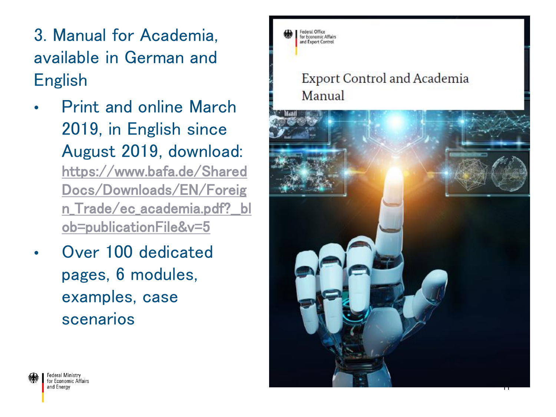- 3. Manual for Academia, available in German and English
- Print and online March 2019, in English since August 2019, download: https://www.bafa.de/Shared Docs/Downloads/EN/Foreig [n\\_Trade/ec\\_academia.pdf?\\_\\_bl](https://www.bafa.de/SharedDocs/Downloads/EN/Foreign_Trade/ec_academia.pdf?__blob=publicationFile&v=5) ob=publicationFile&v=5
- Over 100 dedicated pages, 6 modules, examples, case scenarios



#### Export Control and Academia Manual

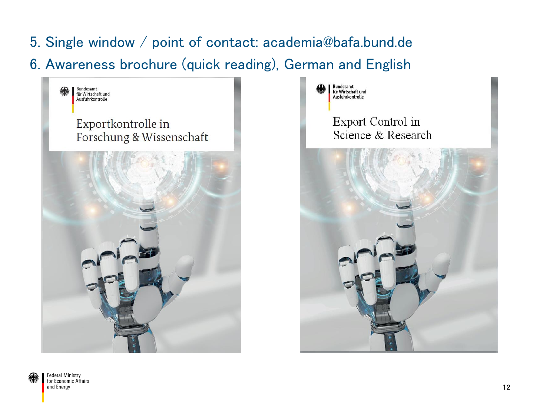- 5. Single window / point of contact: academia@bafa.bund.de
- 6. Awareness brochure (quick reading), German and English





**Export Control in** Science & Research

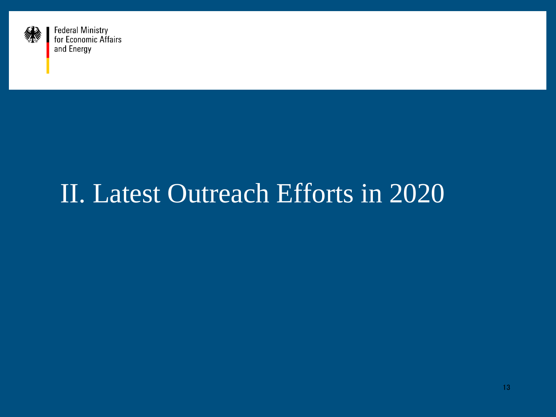

## II. Latest Outreach Efforts in 2020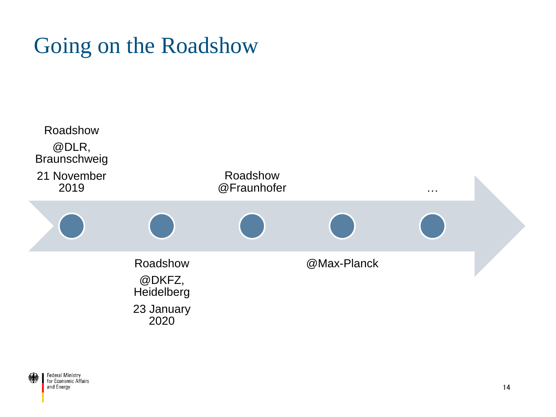### Going on the Roadshow

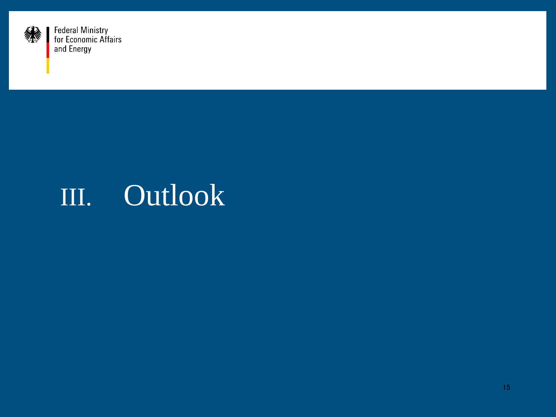

## III. Outlook